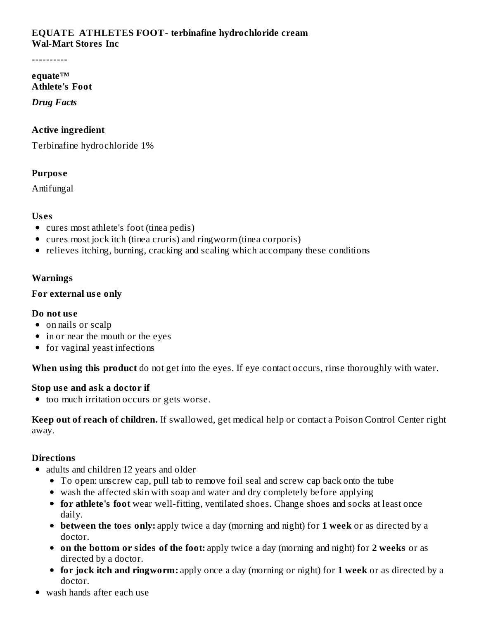#### **EQUATE ATHLETES FOOT- terbinafine hydrochloride cream Wal-Mart Stores Inc**

----------

#### **equate™ Athlete's Foot**

*Drug Facts*

# **Active ingredient**

Terbinafine hydrochloride 1%

# **Purpos e**

Antifungal

# **Us es**

- cures most athlete's foot (tinea pedis)
- cures most jock itch (tinea cruris) and ringworm (tinea corporis)
- relieves itching, burning, cracking and scaling which accompany these conditions

# **Warnings**

# **For external us e only**

### **Do not us e**

- on nails or scalp
- in or near the mouth or the eyes
- for vaginal yeast infections

**When using this product** do not get into the eyes. If eye contact occurs, rinse thoroughly with water.

# **Stop us e and ask a doctor if**

 $\bullet$  too much irritation occurs or gets worse.

**Keep out of reach of children.** If swallowed, get medical help or contact a Poison Control Center right away.

# **Directions**

- adults and children 12 years and older
	- To open: unscrew cap, pull tab to remove foil seal and screw cap back onto the tube
	- wash the affected skin with soap and water and dry completely before applying
	- **for athlete's foot** wear well-fitting, ventilated shoes. Change shoes and socks at least once daily.
	- **between the toes only:** apply twice a day (morning and night) for **1 week** or as directed by a doctor.
	- **on the bottom or sides of the foot:** apply twice a day (morning and night) for **2 weeks** or as directed by a doctor.
	- **for jock itch and ringworm:** apply once a day (morning or night) for **1 week** or as directed by a doctor.
- wash hands after each use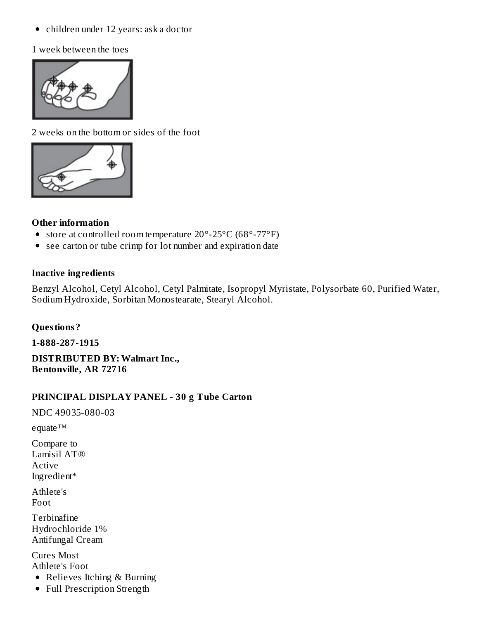children under 12 years: ask a doctor

1 week between the toes



2 weeks on the bottom or sides of the foot



#### **Other information**

- store at controlled room temperature 20°-25°C (68°-77°F)
- see carton or tube crimp for lot number and expiration date

#### **Inactive ingredients**

Benzyl Alcohol, Cetyl Alcohol, Cetyl Palmitate, Isopropyl Myristate, Polysorbate 60, Purified Water, Sodium Hydroxide, Sorbitan Monostearate, Stearyl Alcohol.

**Questions?**

**1-888-287-1915**

**DISTRIBUTED BY: Walmart Inc., Bentonville, AR 72716**

#### **PRINCIPAL DISPLAY PANEL - 30 g Tube Carton**

NDC 49035-080-03

equate™

Compare to Lamisil AT® Active Ingredient\*

Athlete's Foot

Terbinafine Hydrochloride 1% Antifungal Cream

Cures Most Athlete's Foot

- Relieves Itching & Burning
- Full Prescription Strength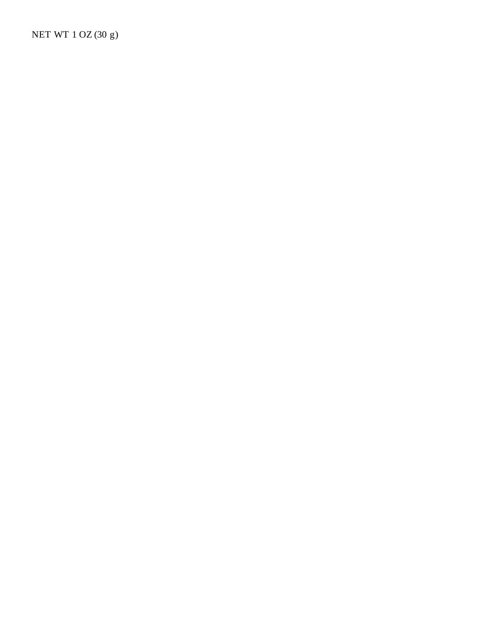NET WT 1 OZ (30 g)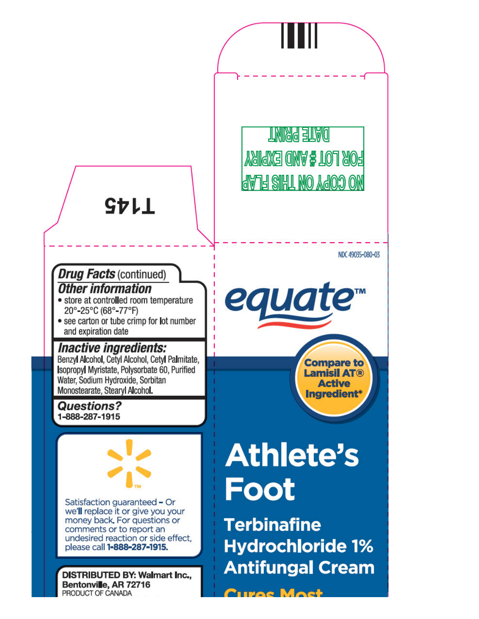

'HIVAC MACH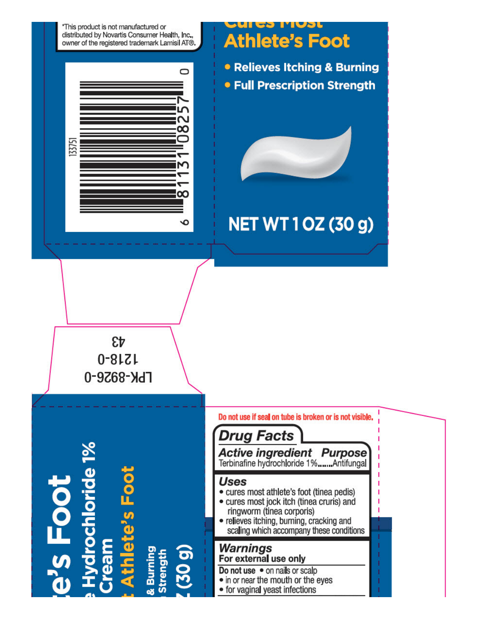\*This product is not manufactured or distributed by Novartis Consumer Health, Inc., owner of the registered trademark Lamisil AT®.



# **Athlete's Foot**

• Relieves Itching & Burning • Full Prescription Strength

# **NET WT1OZ (30 g)**

£Þ 1218-0 FbK-8926-0

lete's Fool

& Burning<br>Strength

rochloride 1%

Do not use if seal on tube is broken or is not visible.

**Drug Facts** 

**Active ingredient Purpose** Terbinafine hydrochloride 1%.......Antifungal

### Uses

- cures most athlete's foot (tinea pedis)
- cures most jock itch (tinea cruris) and
- ringworm (tinea corporis) • relieves itching, burning, cracking and
- scaling which accompany these conditions

#### **Warnings** For external use only

Do not use . on nails or scalp

- in or near the mouth or the eyes
- for vaginal yeast infections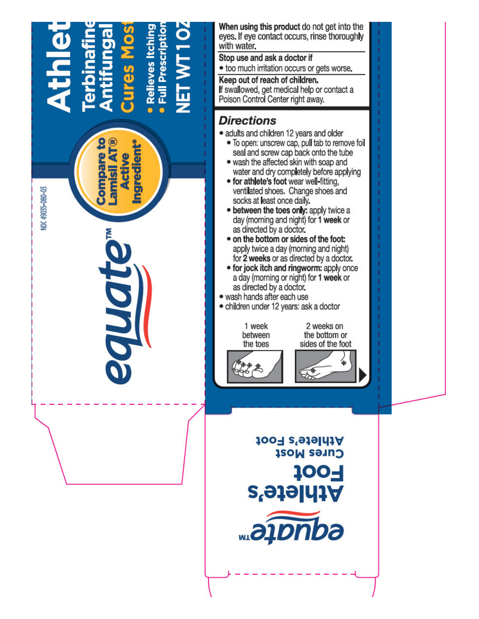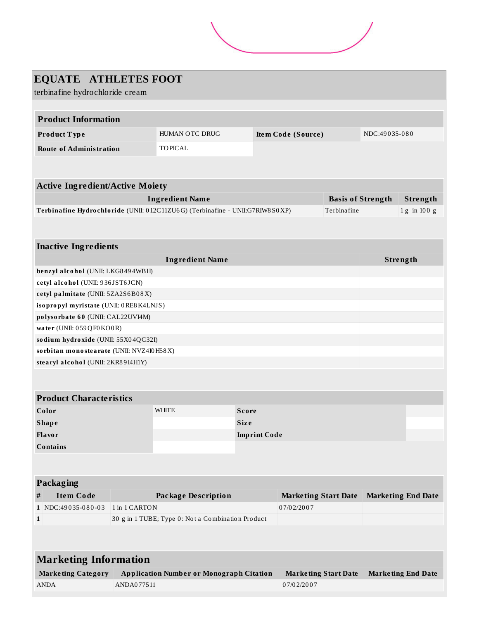

| <b>EQUATE ATHLETES FOOT</b>                                                                 |  |                                      |                     |                             |  |                           |                           |  |
|---------------------------------------------------------------------------------------------|--|--------------------------------------|---------------------|-----------------------------|--|---------------------------|---------------------------|--|
| terbinafine hydrochloride cream                                                             |  |                                      |                     |                             |  |                           |                           |  |
|                                                                                             |  |                                      |                     |                             |  |                           |                           |  |
| <b>Product Information</b>                                                                  |  |                                      |                     |                             |  |                           |                           |  |
| Product Type                                                                                |  | HUMAN OTC DRUG<br>Item Code (Source) |                     |                             |  | NDC:49035-080             |                           |  |
| <b>Route of Administration</b>                                                              |  | <b>TOPICAL</b>                       |                     |                             |  |                           |                           |  |
|                                                                                             |  |                                      |                     |                             |  |                           |                           |  |
|                                                                                             |  |                                      |                     |                             |  |                           |                           |  |
| <b>Active Ingredient/Active Moiety</b>                                                      |  |                                      |                     |                             |  |                           |                           |  |
| <b>Ingredient Name</b>                                                                      |  |                                      |                     |                             |  | <b>Basis of Strength</b>  | Strength                  |  |
| Terbinafine Hydrochloride (UNII: 012C11ZU6G) (Terbinafine - UNII:G7RIW8S0XP)<br>Terbinafine |  |                                      |                     |                             |  |                           | 1g in 100 g               |  |
|                                                                                             |  |                                      |                     |                             |  |                           |                           |  |
|                                                                                             |  |                                      |                     |                             |  |                           |                           |  |
| <b>Inactive Ingredients</b>                                                                 |  |                                      |                     |                             |  |                           |                           |  |
| <b>Ingredient Name</b>                                                                      |  |                                      |                     |                             |  | Strength                  |                           |  |
| benzyl alcohol (UNII: LKG8494WBH)                                                           |  |                                      |                     |                             |  |                           |                           |  |
| cetyl alcohol (UNII: 936JST6JCN)                                                            |  |                                      |                     |                             |  |                           |                           |  |
| cetyl palmitate (UNII: 5ZA2S6B08X)                                                          |  |                                      |                     |                             |  |                           |                           |  |
| isopropyl myristate (UNII: 0RE8K4LNJS)                                                      |  |                                      |                     |                             |  |                           |                           |  |
| polysorbate 60 (UNII: CAL22UVI4M)                                                           |  |                                      |                     |                             |  |                           |                           |  |
| water (UNII: 059QF0KO0R)                                                                    |  |                                      |                     |                             |  |                           |                           |  |
| sodium hydroxide (UNII: 55X04QC32I)                                                         |  |                                      |                     |                             |  |                           |                           |  |
| sorbitan monostearate (UNII: NVZ4I0H58X)                                                    |  |                                      |                     |                             |  |                           |                           |  |
| stearyl alcohol (UNII: 2KR89I4H1Y)                                                          |  |                                      |                     |                             |  |                           |                           |  |
|                                                                                             |  |                                      |                     |                             |  |                           |                           |  |
| <b>Product Characteristics</b>                                                              |  |                                      |                     |                             |  |                           |                           |  |
| Color                                                                                       |  | <b>WHITE</b>                         | <b>Score</b>        |                             |  |                           |                           |  |
| <b>Shape</b>                                                                                |  |                                      | Size                |                             |  |                           |                           |  |
| Flavor                                                                                      |  |                                      | <b>Imprint Code</b> |                             |  |                           |                           |  |
| <b>Contains</b>                                                                             |  |                                      |                     |                             |  |                           |                           |  |
|                                                                                             |  |                                      |                     |                             |  |                           |                           |  |
|                                                                                             |  |                                      |                     |                             |  |                           |                           |  |
| Packaging                                                                                   |  |                                      |                     |                             |  |                           |                           |  |
| <b>Item Code</b><br><b>Package Description</b><br>#                                         |  |                                      |                     | <b>Marketing Start Date</b> |  | <b>Marketing End Date</b> |                           |  |
| 1 NDC:49035-080-03<br>1 in 1 CARTON                                                         |  |                                      | 07/02/2007          |                             |  |                           |                           |  |
| 30 g in 1 TUBE; Type 0: Not a Combination Product<br>$\mathbf{1}$                           |  |                                      |                     |                             |  |                           |                           |  |
|                                                                                             |  |                                      |                     |                             |  |                           |                           |  |
|                                                                                             |  |                                      |                     |                             |  |                           |                           |  |
| <b>Marketing Information</b>                                                                |  |                                      |                     |                             |  |                           |                           |  |
| <b>Marketing Category</b><br><b>Application Number or Monograph Citation</b>                |  |                                      |                     | <b>Marketing Start Date</b> |  |                           | <b>Marketing End Date</b> |  |
| <b>ANDA</b><br>ANDA077511                                                                   |  |                                      |                     | 07/02/2007                  |  |                           |                           |  |
|                                                                                             |  |                                      |                     |                             |  |                           |                           |  |